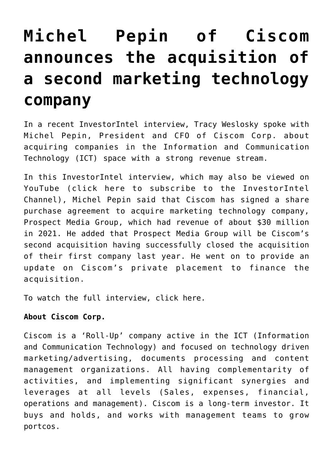## **[Michel Pepin of Ciscom](https://investorintel.com/investorintel-video/michel-pepin-of-ciscom-announces-the-acquisition-of-a-second-marketing-technology-company/) [announces the acquisition of](https://investorintel.com/investorintel-video/michel-pepin-of-ciscom-announces-the-acquisition-of-a-second-marketing-technology-company/) [a second marketing technology](https://investorintel.com/investorintel-video/michel-pepin-of-ciscom-announces-the-acquisition-of-a-second-marketing-technology-company/) [company](https://investorintel.com/investorintel-video/michel-pepin-of-ciscom-announces-the-acquisition-of-a-second-marketing-technology-company/)**

In a recent InvestorIntel interview, Tracy Weslosky spoke with Michel Pepin, President and CFO of [Ciscom Corp.](https://ciscomcorp.com/) about acquiring companies in the Information and Communication Technology (ICT) space with a strong revenue stream.

In this InvestorIntel interview, which may also be viewed on YouTube ([click here to subscribe to the InvestorIntel](https://www.youtube.com/channel/UCTAJpGxZWbiV9psQA5WATVg?view_as=subscriber) [Channel\)](https://www.youtube.com/channel/UCTAJpGxZWbiV9psQA5WATVg?view_as=subscriber), Michel Pepin said that Ciscom has signed a [share](https://ciscomcorp.com/news/) [purchase agreement](https://ciscomcorp.com/news/) to acquire marketing technology company, Prospect Media Group, which had revenue of about \$30 million in 2021. He added that Prospect Media Group will be Ciscom's second acquisition having successfully closed the acquisition of their first company last year. He went on to provide an update on Ciscom's private placement to finance the acquisition.

To watch the full interview, [click here](https://youtu.be/W42QfUAbZPQ).

## **About Ciscom Corp.**

Ciscom is a 'Roll-Up' company active in the ICT (Information and Communication Technology) and focused on technology driven marketing/advertising, documents processing and content management organizations. All having complementarity of activities, and implementing significant synergies and leverages at all levels (Sales, expenses, financial, operations and management). Ciscom is a long-term investor. It buys and holds, and works with management teams to grow portcos.